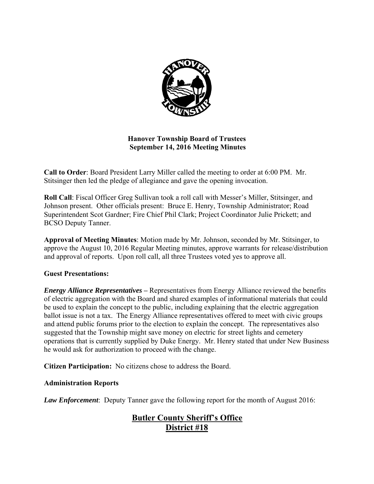

## **Hanover Township Board of Trustees September 14, 2016 Meeting Minutes**

**Call to Order**: Board President Larry Miller called the meeting to order at 6:00 PM. Mr. Stitsinger then led the pledge of allegiance and gave the opening invocation.

**Roll Call**: Fiscal Officer Greg Sullivan took a roll call with Messer's Miller, Stitsinger, and Johnson present. Other officials present: Bruce E. Henry, Township Administrator; Road Superintendent Scot Gardner; Fire Chief Phil Clark; Project Coordinator Julie Prickett; and BCSO Deputy Tanner.

**Approval of Meeting Minutes**: Motion made by Mr. Johnson, seconded by Mr. Stitsinger, to approve the August 10, 2016 Regular Meeting minutes, approve warrants for release/distribution and approval of reports. Upon roll call, all three Trustees voted yes to approve all.

## **Guest Presentations:**

*Energy Alliance Representatives* **–** Representatives from Energy Alliance reviewed the benefits of electric aggregation with the Board and shared examples of informational materials that could be used to explain the concept to the public, including explaining that the electric aggregation ballot issue is not a tax. The Energy Alliance representatives offered to meet with civic groups and attend public forums prior to the election to explain the concept. The representatives also suggested that the Township might save money on electric for street lights and cemetery operations that is currently supplied by Duke Energy. Mr. Henry stated that under New Business he would ask for authorization to proceed with the change.

**Citizen Participation:** No citizens chose to address the Board.

## **Administration Reports**

*Law Enforcement*: Deputy Tanner gave the following report for the month of August 2016:

# **Butler County Sheriff's Office District #18**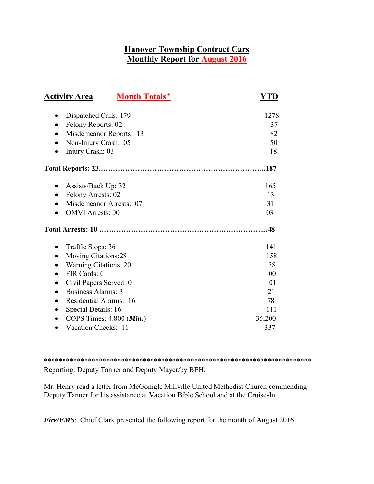# **Hanover Township Contract Cars Monthly Report for August 2016**

| <b>Month Totals*</b><br><b>Activity Area</b>                                                                                                                                                                                                                                | YTD                                                                   |
|-----------------------------------------------------------------------------------------------------------------------------------------------------------------------------------------------------------------------------------------------------------------------------|-----------------------------------------------------------------------|
| Dispatched Calls: 179<br>$\bullet$<br>Felony Reports: 02<br>Misdemeanor Reports: 13<br>Non-Injury Crash: 05<br>Injury Crash: 03                                                                                                                                             | 1278<br>37<br>82<br>50<br>18                                          |
|                                                                                                                                                                                                                                                                             | .187                                                                  |
| Assists/Back Up: 32<br>$\bullet$<br>Felony Arrests: 02<br>$\bullet$<br>Misdemeanor Arrests: 07<br><b>OMVI</b> Arrests: 00                                                                                                                                                   | 165<br>13<br>31<br>03                                                 |
|                                                                                                                                                                                                                                                                             | .48                                                                   |
| Traffic Stops: 36<br>٠<br><b>Moving Citations:28</b><br><b>Warning Citations: 20</b><br>FIR Cards: 0<br>Civil Papers Served: 0<br>$\bullet$<br>Business Alarms: 3<br>Residential Alarms: 16<br>$\bullet$<br>Special Details: 16<br>٠<br>COPS Times: $4,800$ ( <i>Min.</i> ) | 141<br>158<br>38<br>00<br>0 <sub>1</sub><br>21<br>78<br>111<br>35,200 |
| Vacation Checks: 11<br>$\bullet$                                                                                                                                                                                                                                            | 337                                                                   |

\*\*\*\*\*\*\*\*\*\*\*\*\*\*\*\*\*\*\*\*\*\*\*\*\*\*\*\*\*\*\*\*\*\*\*\*\*\*\*\*\*\*\*\*\*\*\*\*\*\*\*\*\*\*\*\*\*\*\*\*\*\*\*\*\*\*\*\*\*\*\*\*\* Reporting: Deputy Tanner and Deputy Mayer/by BEH.

Mr. Henry read a letter from McGonigle Millville United Methodist Church commending Deputy Tanner for his assistance at Vacation Bible School and at the Cruise-In.

*Fire/EMS*: Chief Clark presented the following report for the month of August 2016.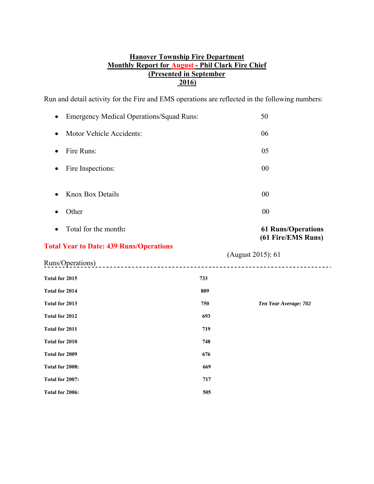## **Hanover Township Fire Department Monthly Report for August - Phil Clark Fire Chief (Presented in September 2016)**

Run and detail activity for the Fire and EMS operations are reflected in the following numbers:

| <b>Emergency Medical Operations/Squad Runs:</b>         |     | 50                                              |
|---------------------------------------------------------|-----|-------------------------------------------------|
| Motor Vehicle Accidents:<br>$\bullet$                   |     | 06                                              |
| Fire Runs:<br>$\bullet$                                 |     | 05                                              |
| Fire Inspections:                                       |     | 00                                              |
| <b>Knox Box Details</b>                                 |     | 00                                              |
| Other<br>$\bullet$                                      |     | 00                                              |
| Total for the month:                                    |     | <b>61 Runs/Operations</b><br>(61 Fire/EMS Runs) |
| <b>Total Year to Date: 439 Runs/Operations</b>          |     |                                                 |
| Runs/Operations)<br>----------------------------------- |     | (August 2015): 61                               |
| Total for 2015                                          | 733 |                                                 |
| Total for 2014                                          | 809 |                                                 |
| Total for 2013                                          | 750 | Ten Year Average: 702                           |
| Total for 2012                                          | 693 |                                                 |
| Total for 2011                                          | 719 |                                                 |
| Total for 2010                                          | 748 |                                                 |
| <b>Total for 2009</b>                                   | 676 |                                                 |
| Total for 2008:                                         | 669 |                                                 |
|                                                         |     |                                                 |
| Total for 2007:                                         | 717 |                                                 |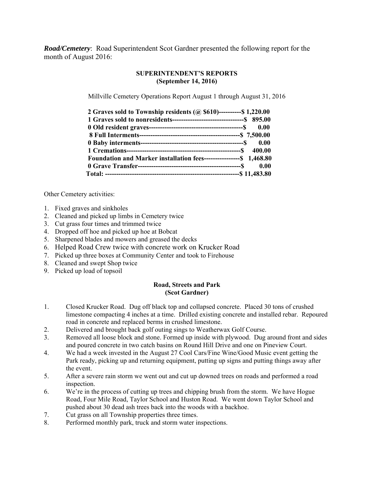*Road/Cemetery*: Road Superintendent Scot Gardner presented the following report for the month of August 2016:

## **SUPERINTENDENT'S REPORTS (September 14, 2016)**

Millville Cemetery Operations Report August 1 through August 31, 2016

| 2 Graves sold to Township residents ( $\omega$ \$610)----------\$ 1,220.00 |      |
|----------------------------------------------------------------------------|------|
|                                                                            |      |
|                                                                            |      |
|                                                                            |      |
|                                                                            |      |
|                                                                            |      |
| Foundation and Marker installation fees-----------------\$ 1,468.80        |      |
|                                                                            | 0.00 |
|                                                                            |      |

Other Cemetery activities:

- 1. Fixed graves and sinkholes
- 2. Cleaned and picked up limbs in Cemetery twice
- 3. Cut grass four times and trimmed twice
- 4. Dropped off hoe and picked up hoe at Bobcat
- 5. Sharpened blades and mowers and greased the decks
- 6. Helped Road Crew twice with concrete work on Krucker Road
- 7. Picked up three boxes at Community Center and took to Firehouse
- 8. Cleaned and swept Shop twice
- 9. Picked up load of topsoil

### **Road, Streets and Park (Scot Gardner)**

- 1. Closed Krucker Road. Dug off black top and collapsed concrete. Placed 30 tons of crushed limestone compacting 4 inches at a time. Drilled existing concrete and installed rebar. Repoured road in concrete and replaced berms in crushed limestone.
- 2. Delivered and brought back golf outing sings to Weatherwax Golf Course.
- 3. Removed all loose block and stone. Formed up inside with plywood. Dug around front and sides and poured concrete in two catch basins on Round Hill Drive and one on Pineview Court.
- 4. We had a week invested in the August 27 Cool Cars/Fine Wine/Good Music event getting the Park ready, picking up and returning equipment, putting up signs and putting things away after the event.
- 5. After a severe rain storm we went out and cut up downed trees on roads and performed a road inspection.
- 6. We're in the process of cutting up trees and chipping brush from the storm. We have Hogue Road, Four Mile Road, Taylor School and Huston Road. We went down Taylor School and pushed about 30 dead ash trees back into the woods with a backhoe.
- 7. Cut grass on all Township properties three times.
- 8. Performed monthly park, truck and storm water inspections.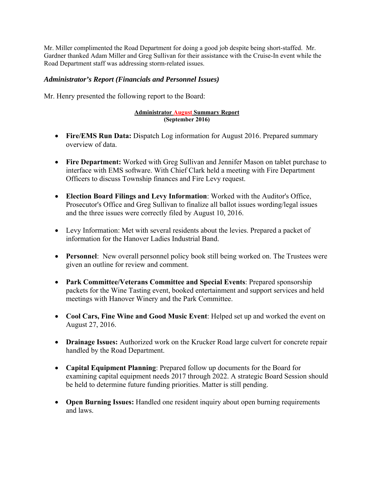Mr. Miller complimented the Road Department for doing a good job despite being short-staffed. Mr. Gardner thanked Adam Miller and Greg Sullivan for their assistance with the Cruise-In event while the Road Department staff was addressing storm-related issues.

## *Administrator's Report (Financials and Personnel Issues)*

Mr. Henry presented the following report to the Board:

#### **Administrator August Summary Report (September 2016)**

- **Fire/EMS Run Data:** Dispatch Log information for August 2016. Prepared summary overview of data.
- **Fire Department:** Worked with Greg Sullivan and Jennifer Mason on tablet purchase to interface with EMS software. With Chief Clark held a meeting with Fire Department Officers to discuss Township finances and Fire Levy request.
- **Election Board Filings and Levy Information**: Worked with the Auditor's Office, Prosecutor's Office and Greg Sullivan to finalize all ballot issues wording/legal issues and the three issues were correctly filed by August 10, 2016.
- Levy Information: Met with several residents about the levies. Prepared a packet of information for the Hanover Ladies Industrial Band.
- **Personnel**: New overall personnel policy book still being worked on. The Trustees were given an outline for review and comment.
- **Park Committee/Veterans Committee and Special Events**: Prepared sponsorship packets for the Wine Tasting event, booked entertainment and support services and held meetings with Hanover Winery and the Park Committee.
- **Cool Cars, Fine Wine and Good Music Event**: Helped set up and worked the event on August 27, 2016.
- **Drainage Issues:** Authorized work on the Krucker Road large culvert for concrete repair handled by the Road Department.
- **Capital Equipment Planning**: Prepared follow up documents for the Board for examining capital equipment needs 2017 through 2022. A strategic Board Session should be held to determine future funding priorities. Matter is still pending.
- **Open Burning Issues:** Handled one resident inquiry about open burning requirements and laws.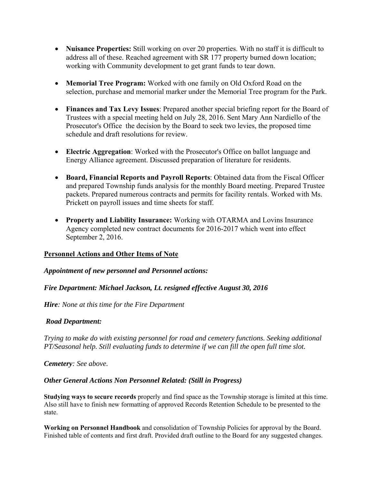- **Nuisance Properties:** Still working on over 20 properties. With no staff it is difficult to address all of these. Reached agreement with SR 177 property burned down location; working with Community development to get grant funds to tear down.
- **Memorial Tree Program:** Worked with one family on Old Oxford Road on the selection, purchase and memorial marker under the Memorial Tree program for the Park.
- **Finances and Tax Levy Issues**: Prepared another special briefing report for the Board of Trustees with a special meeting held on July 28, 2016. Sent Mary Ann Nardiello of the Prosecutor's Office the decision by the Board to seek two levies, the proposed time schedule and draft resolutions for review.
- **Electric Aggregation**: Worked with the Prosecutor's Office on ballot language and Energy Alliance agreement. Discussed preparation of literature for residents.
- **Board, Financial Reports and Payroll Reports**: Obtained data from the Fiscal Officer and prepared Township funds analysis for the monthly Board meeting. Prepared Trustee packets. Prepared numerous contracts and permits for facility rentals. Worked with Ms. Prickett on payroll issues and time sheets for staff.
- **Property and Liability Insurance:** Working with OTARMA and Lovins Insurance Agency completed new contract documents for 2016-2017 which went into effect September 2, 2016.

## **Personnel Actions and Other Items of Note**

*Appointment of new personnel and Personnel actions:* 

*Fire Department: Michael Jackson, Lt. resigned effective August 30, 2016* 

*Hire: None at this time for the Fire Department* 

## *Road Department:*

*Trying to make do with existing personnel for road and cemetery functions. Seeking additional PT/Seasonal help. Still evaluating funds to determine if we can fill the open full time slot.* 

*Cemetery: See above.* 

## *Other General Actions Non Personnel Related: (Still in Progress)*

**Studying ways to secure records** properly and find space as the Township storage is limited at this time. Also still have to finish new formatting of approved Records Retention Schedule to be presented to the state.

**Working on Personnel Handbook** and consolidation of Township Policies for approval by the Board. Finished table of contents and first draft. Provided draft outline to the Board for any suggested changes.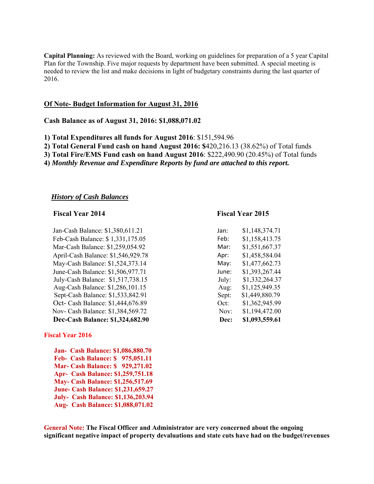**Capital Planning:** As reviewed with the Board, working on guidelines for preparation of a 5 year Capital Plan for the Township. Five major requests by department have been submitted. A special meeting is needed to review the list and make decisions in light of budgetary constraints during the last quarter of 2016.

### **Of Note- Budget Information for August 31, 2016**

#### **Cash Balance as of August 31, 2016: \$1,088,071.02**

**1) Total Expenditures all funds for August 2016**: \$151,594.96

- **2) Total General Fund cash on hand August 2016: \$**420,216.13 (38.62%) of Total funds
- **3) Total Fire/EMS Fund cash on hand August 2016**: \$222,490.90 (20.45%) of Total funds
- **4)** *Monthly Revenue and Expenditure Reports by fund are attached to this report.*

#### *History of Cash Balances*

#### **Fiscal Year 2014 Fiscal Year 2015**

Jan-Cash Balance: \$1,380,611.21 Feb-Cash Balance: \$1,331,175.05 Mar-Cash Balance: \$1,259,054.92 April-Cash Balance: \$1,546,929.78 May-Cash Balance: \$1,524,373.14 June-Cash Balance: \$1,506,977.71 July-Cash Balance: \$1,517,738.15 Aug-Cash Balance: \$1,286,101.15 Sept-Cash Balance: \$1,533,842.91 Oct- Cash Balance: \$1,444,676.89 Nov- Cash Balance: \$1,384,569.72 **Dec-Cash Balance: \$1,324,682.90** 

#### **Fiscal Year 2016**

 **Jan- Cash Balance: \$1,086,880.70 Feb- Cash Balance: \$ 975,051.11 Mar- Cash Balance: \$ 929,271.02 Apr- Cash Balance: \$1,259,751.18 May- Cash Balance: \$1,256,517.69 June- Cash Balance: \$1,231,659.27 July- Cash Balance: \$1,136,203.94 Aug- Cash Balance: \$1,088,071.02** 

| Jan:  | \$1,148,374.71 |
|-------|----------------|
| Feb:  | \$1,158,413.75 |
| Mar:  | \$1,551,667.37 |
| Apr:  | \$1,458,584.04 |
| May:  | \$1,477,662.73 |
| June: | \$1,393,267.44 |
| July: | \$1,332,264.37 |
| Aug:  | \$1,125,949.35 |
| Sept: | \$1,449,880.79 |
| Oct:  | \$1,362,945.99 |
| Nov:  | \$1,194,472.00 |
| Dec:  | \$1,093,559.61 |

**General Note: The Fiscal Officer and Administrator are very concerned about the ongoing significant negative impact of property devaluations and state cuts have had on the budget/revenues**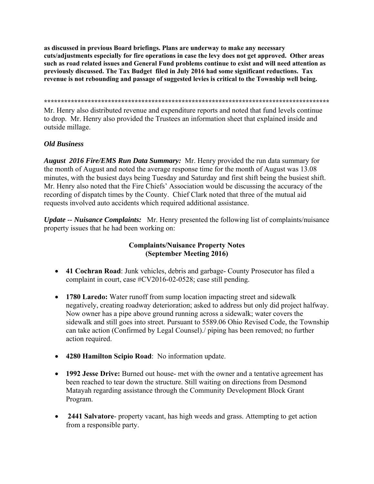**as discussed in previous Board briefings. Plans are underway to make any necessary cuts/adjustments especially for fire operations in case the levy does not get approved. Other areas such as road related issues and General Fund problems continue to exist and will need attention as previously discussed. The Tax Budget filed in July 2016 had some significant reductions. Tax revenue is not rebounding and passage of suggested levies is critical to the Township well being.** 

**\*\*\*\*\*\*\*\*\*\*\*\*\*\*\*\*\*\*\*\*\*\*\*\*\*\*\*\*\*\*\*\*\*\*\*\*\*\*\*\*\*\*\*\*\*\*\*\*\*\*\*\*\*\*\*\*\*\*\*\*\*\*\*\*\*\*\*\*\*\*\*\*\*\*\*\*\*\*\*\*\*\*\*\*\*** 

Mr. Henry also distributed revenue and expenditure reports and noted that fund levels continue to drop. Mr. Henry also provided the Trustees an information sheet that explained inside and outside millage.

## *Old Business*

*August 2016 Fire/EMS Run Data Summary:* Mr. Henry provided the run data summary for the month of August and noted the average response time for the month of August was 13.08 minutes, with the busiest days being Tuesday and Saturday and first shift being the busiest shift. Mr. Henry also noted that the Fire Chiefs' Association would be discussing the accuracy of the recording of dispatch times by the County. Chief Clark noted that three of the mutual aid requests involved auto accidents which required additional assistance.

*Update -- Nuisance Complaints:* Mr. Henry presented the following list of complaints/nuisance property issues that he had been working on:

## **Complaints/Nuisance Property Notes (September Meeting 2016)**

- **41 Cochran Road**: Junk vehicles, debris and garbage- County Prosecutor has filed a complaint in court, case #CV2016-02-0528; case still pending.
- **1780 Laredo:** Water runoff from sump location impacting street and sidewalk negatively, creating roadway deterioration; asked to address but only did project halfway. Now owner has a pipe above ground running across a sidewalk; water covers the sidewalk and still goes into street. Pursuant to 5589.06 Ohio Revised Code, the Township can take action (Confirmed by Legal Counsel)./ piping has been removed; no further action required.
- **4280 Hamilton Scipio Road**: No information update.
- **1992 Jesse Drive:** Burned out house- met with the owner and a tentative agreement has been reached to tear down the structure. Still waiting on directions from Desmond Matayah regarding assistance through the Community Development Block Grant Program.
- **2441 Salvatore** property vacant, has high weeds and grass. Attempting to get action from a responsible party.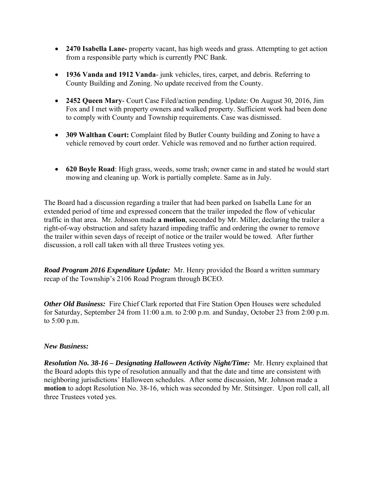- **2470 Isabella Lane-** property vacant, has high weeds and grass. Attempting to get action from a responsible party which is currently PNC Bank.
- **1936 Vanda and 1912 Vanda** junk vehicles, tires, carpet, and debris. Referring to County Building and Zoning. No update received from the County.
- **2452 Queen Mary** Court Case Filed/action pending. Update: On August 30, 2016, Jim Fox and I met with property owners and walked property. Sufficient work had been done to comply with County and Township requirements. Case was dismissed.
- **309 Walthan Court:** Complaint filed by Butler County building and Zoning to have a vehicle removed by court order. Vehicle was removed and no further action required.
- **620 Boyle Road**: High grass, weeds, some trash; owner came in and stated he would start mowing and cleaning up. Work is partially complete. Same as in July.

The Board had a discussion regarding a trailer that had been parked on Isabella Lane for an extended period of time and expressed concern that the trailer impeded the flow of vehicular traffic in that area. Mr. Johnson made **a motion**, seconded by Mr. Miller, declaring the trailer a right-of-way obstruction and safety hazard impeding traffic and ordering the owner to remove the trailer within seven days of receipt of notice or the trailer would be towed. After further discussion, a roll call taken with all three Trustees voting yes.

*Road Program 2016 Expenditure Update:* Mr. Henry provided the Board a written summary recap of the Township's 2106 Road Program through BCEO.

*Other Old Business:* Fire Chief Clark reported that Fire Station Open Houses were scheduled for Saturday, September 24 from 11:00 a.m. to 2:00 p.m. and Sunday, October 23 from 2:00 p.m. to 5:00 p.m.

## *New Business:*

*Resolution No. 38-16 – Designating Halloween Activity Night/Time:* Mr. Henry explained that the Board adopts this type of resolution annually and that the date and time are consistent with neighboring jurisdictions' Halloween schedules. After some discussion, Mr. Johnson made a **motion** to adopt Resolution No. 38-16, which was seconded by Mr. Stitsinger. Upon roll call, all three Trustees voted yes.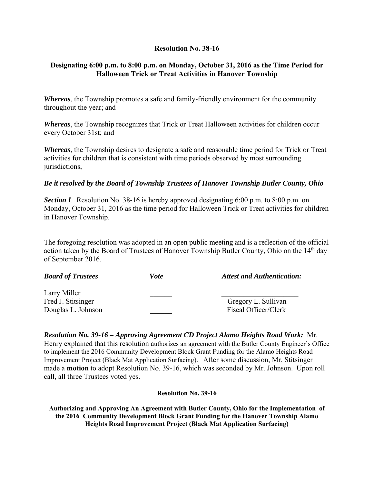## **Resolution No. 38-16**

## **Designating 6:00 p.m. to 8:00 p.m. on Monday, October 31, 2016 as the Time Period for Halloween Trick or Treat Activities in Hanover Township**

*Whereas*, the Township promotes a safe and family-friendly environment for the community throughout the year; and

*Whereas*, the Township recognizes that Trick or Treat Halloween activities for children occur every October 31st; and

*Whereas*, the Township desires to designate a safe and reasonable time period for Trick or Treat activities for children that is consistent with time periods observed by most surrounding jurisdictions,

## *Be it resolved by the Board of Township Trustees of Hanover Township Butler County, Ohio*

**Section I**. Resolution No. 38-16 is hereby approved designating 6:00 p.m. to 8:00 p.m. on Monday, October 31, 2016 as the time period for Halloween Trick or Treat activities for children in Hanover Township.

The foregoing resolution was adopted in an open public meeting and is a reflection of the official action taken by the Board of Trustees of Hanover Township Butler County, Ohio on the 14<sup>th</sup> day of September 2016.

| <b>Board of Trustees</b>                                 | Vote | <b>Attest and Authentication:</b>           |
|----------------------------------------------------------|------|---------------------------------------------|
| Larry Miller<br>Fred J. Stitsinger<br>Douglas L. Johnson |      | Gregory L. Sullivan<br>Fiscal Officer/Clerk |

*Resolution No. 39-16 – Approving Agreement CD Project Alamo Heights Road Work:* Mr. Henry explained that this resolution authorizes an agreement with the Butler County Engineer's Office to implement the 2016 Community Development Block Grant Funding for the Alamo Heights Road Improvement Project (Black Mat Application Surfacing). After some discussion, Mr. Stitsinger made a **motion** to adopt Resolution No. 39-16, which was seconded by Mr. Johnson. Upon roll call, all three Trustees voted yes.

### **Resolution No. 39-16**

**Authorizing and Approving An Agreement with Butler County, Ohio for the Implementation of the 2016 Community Development Block Grant Funding for the Hanover Township Alamo Heights Road Improvement Project (Black Mat Application Surfacing)**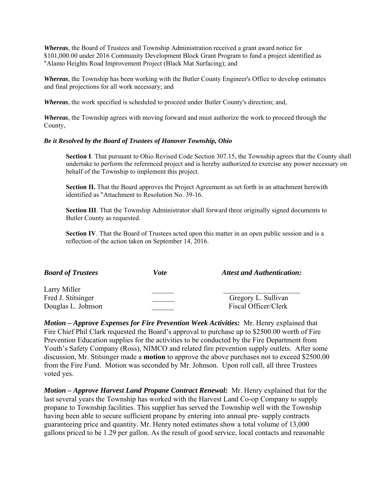*Whereas*, the Board of Trustees and Township Administration received a grant award notice for \$101,000.00 under 2016 Community Development Block Grant Program to fund a project identified as "Alamo Heights Road Improvement Project (Black Mat Surfacing); and

*Whereas*, the Township has been working with the Butler County Engineer's Office to develop estimates and final projections for all work necessary; and

*Whereas*, the work specified is scheduled to proceed under Butler County's direction; and,

*Whereas*, the Township agrees with moving forward and must authorize the work to proceed through the County,

#### *Be it Resolved by the Board of Trustees of Hanover Township, Ohio*

**Section I**. That pursuant to Ohio Revised Code Section 307.15, the Township agrees that the County shall undertake to perform the referenced project and is hereby authorized to exercise any power necessary on behalf of the Township to implement this project.

**Section II.** That the Board approves the Project Agreement as set forth in an attachment herewith identified as "Attachment to Resolution No. 39-16.

**Section III**. That the Township Administrator shall forward three originally signed documents to Butler County as requested.

**Section IV.** That the Board of Trustees acted upon this matter in an open public session and is a reflection of the action taken on September 14, 2016.

| <b>Board of Trustees</b>                                 | <i>Vote</i> | <b>Attest and Authentication:</b>           |
|----------------------------------------------------------|-------------|---------------------------------------------|
| Larry Miller<br>Fred J. Stitsinger<br>Douglas L. Johnson |             | Gregory L. Sullivan<br>Fiscal Officer/Clerk |

*Motion – Approve Expenses for Fire Prevention Week Activities:* Mr. Henry explained that Fire Chief Phil Clark requested the Board's approval to purchase up to \$2500.00 worth of Fire Prevention Education supplies for the activities to be conducted by the Fire Department from Youth's Safety Company (Ross), NIMCO and related fire prevention supply outlets. After some discussion, Mr. Stitsinger made a **motion** to approve the above purchases not to exceed \$2500.00 from the Fire Fund. Motion was seconded by Mr. Johnson. Upon roll call, all three Trustees voted yes.

*Motion – Approve Harvest Land Propane Contract Renewal:* Mr. Henry explained that for the last several years the Township has worked with the Harvest Land Co-op Company to supply propane to Township facilities. This supplier has served the Township well with the Township having been able to secure sufficient propane by entering into annual pre- supply contracts guaranteeing price and quantity. Mr. Henry noted estimates show a total volume of 13,000 gallons priced to be 1.29 per gallon. As the result of good service, local contacts and reasonable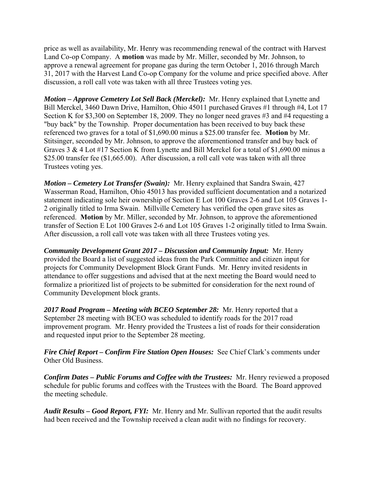price as well as availability, Mr. Henry was recommending renewal of the contract with Harvest Land Co-op Company. A **motion** was made by Mr. Miller, seconded by Mr. Johnson, to approve a renewal agreement for propane gas during the term October 1, 2016 through March 31, 2017 with the Harvest Land Co-op Company for the volume and price specified above. After discussion, a roll call vote was taken with all three Trustees voting yes.

*Motion – Approve Cemetery Lot Sell Back (Merckel):* Mr. Henry explained that Lynette and Bill Merckel, 3460 Dawn Drive, Hamilton, Ohio 45011 purchased Graves #1 through #4, Lot 17 Section K for \$3,300 on September 18, 2009. They no longer need graves #3 and #4 requesting a "buy back" by the Township. Proper documentation has been received to buy back these referenced two graves for a total of \$1,690.00 minus a \$25.00 transfer fee. **Motion** by Mr. Stitsinger, seconded by Mr. Johnson, to approve the aforementioned transfer and buy back of Graves 3 & 4 Lot #17 Section K from Lynette and Bill Merckel for a total of \$1,690.00 minus a \$25.00 transfer fee (\$1,665.00). After discussion, a roll call vote was taken with all three Trustees voting yes.

*Motion – Cemetery Lot Transfer (Swain):* Mr. Henry explained that Sandra Swain, 427 Wasserman Road, Hamilton, Ohio 45013 has provided sufficient documentation and a notarized statement indicating sole heir ownership of Section E Lot 100 Graves 2-6 and Lot 105 Graves 1- 2 originally titled to Irma Swain. Millville Cemetery has verified the open grave sites as referenced. **Motion** by Mr. Miller, seconded by Mr. Johnson, to approve the aforementioned transfer of Section E Lot 100 Graves 2-6 and Lot 105 Graves 1-2 originally titled to Irma Swain. After discussion, a roll call vote was taken with all three Trustees voting yes.

*Community Development Grant 2017 – Discussion and Community Input:* Mr. Henry provided the Board a list of suggested ideas from the Park Committee and citizen input for projects for Community Development Block Grant Funds. Mr. Henry invited residents in attendance to offer suggestions and advised that at the next meeting the Board would need to formalize a prioritized list of projects to be submitted for consideration for the next round of Community Development block grants.

*2017 Road Program – Meeting with BCEO September 28:* Mr. Henry reported that a September 28 meeting with BCEO was scheduled to identify roads for the 2017 road improvement program. Mr. Henry provided the Trustees a list of roads for their consideration and requested input prior to the September 28 meeting.

*Fire Chief Report – Confirm Fire Station Open Houses:*See Chief Clark's comments under Other Old Business.

*Confirm Dates – Public Forums and Coffee with the Trustees:* Mr. Henry reviewed a proposed schedule for public forums and coffees with the Trustees with the Board. The Board approved the meeting schedule.

*Audit Results – Good Report, FYI:* Mr. Henry and Mr. Sullivan reported that the audit results had been received and the Township received a clean audit with no findings for recovery.